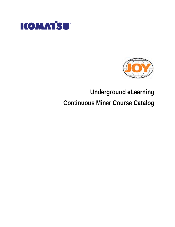



# **Underground eLearning Continuous Miner Course Catalog**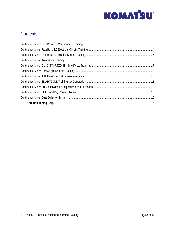

### **Contents**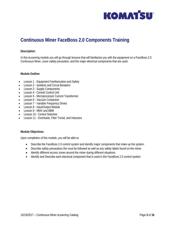

### <span id="page-2-0"></span>**Continuous Miner FaceBoss 2.0 Components Training**

#### **Description:**

In this eLearning module you will go through lessons that will familiarize you with the equipment on a FaceBoss 2.0 Continuous Miner, cover safety precaution, and the major electrical components that are used.

**Module Outline:**

- Lesson 1 Equipment Familiarization and Safety
- Lesson 2 Isolators and Circuit Breakers
- Lesson 3 Supply Components
- Lesson 4 Central Control Unit
- Lesson 5 Microprocessor Current Transformer
- Lesson 6 Vacuum Contactors
- Lesson 7 Variable Frequency Drives
- Lesson 8 Input/Output Module
- Lesson 9 MMX and BBM
- Lesson 10 Control Switches
- Lesson 11 Overloads, Filter Toroid, and Inductors

**Module Objectives:**

- Describe the FaceBoss 2.0 control system and identify major components that make up the system.
- Describe safety precautions the must be followed as well as any safety labels found on the miner.
- Identify different access zones around the miner during different situations.
- Identify and Describe each electrical component that is used in the FaceBoss 2.0 control system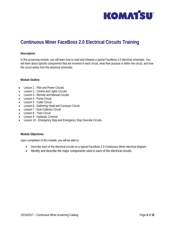

## <span id="page-3-0"></span>**Continuous Miner FaceBoss 2.0 Electrical Circuits Training**

#### **Description:**

In this eLearning module, you will learn how to read and interpret a typical FaceBoss 2.0 electrical schematic. You will learn about specific components that are involved in each circuit, what their purpose is within the circuit, and how the circuit works from the electrical schematic.

#### **Module Outline:**

- Lesson 1 Pilot and Power Circuits
- Lesson 2 Control and Lights Circuits
- Lesson 3 Remote and Manual Circuits
- Lesson 4 Pump Circuit
- Lesson 5 Cutter Circuit
- Lesson 6 Gathering Head and Conveyor Circuit
- Lesson 7 Dust Collector Circuit
- Lesson 8 Tram Circuit
- Lesson 9 Hydraulic Controls
- Lesson 10 Emergency Stop and Emergency Stop Override Circuits

#### **Module Objectives:**

- Describe each of the electrical circuits on a typical FaceBoss 2.0 Continuous Miner electrical diagram.
- Identify and describe the major components used in each of the electrical circuits.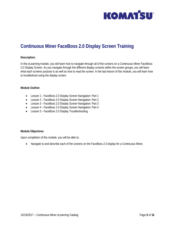

## <span id="page-4-0"></span>**Continuous Miner FaceBoss 2.0 Display Screen Training**

#### **Description:**

In this eLearning module, you will learn how to navigate through all of the screens on a Continuous Miner FaceBoss 2.0 Display Screen. As you navigate through the different display screens within the screen groups, you will learn what each screens purpose is as well as how to read the screen. In the last lesson of this module, you will learn how to troubleshoot using the display screen.

**Module Outline:**

- Lesson 1 FaceBoss 2.0 Display Screen Navigation: Part 1
- Lesson 2 FaceBoss 2.0 Display Screen Navigation: Part 2
- Lesson 3 FaceBoss 2.0 Display Screen Navigation: Part 3
- Lesson 4 FaceBoss 2.0 Display Screen Navigation: Part 4
- Lesson 5 FaceBoss 2.0 Display Troubleshooting

**Module Objectives:**

Upon completion of this module, you will be able to:

• Navigate to and describe each of the screens on the FaceBoss 2.0 display for a Continuous Miner.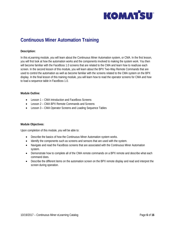

### <span id="page-5-0"></span>**Continuous Miner Automation Training**

#### **Description:**

In this eLearning module, you will learn about the Continuous Miner Automation system, or CMA. In the first lesson, you will first look at how the automation works and the components involved to making the system work. You then will become familiar with the FaceBoss 1.0 screens that are related to the CMA and learn how to read/use each screen. In the second lesson of this module, you will learn about the BPX Two-Way Remote Commands that are used to control the automation as well as become familiar with the screens related to the CMA system on the BPX display. In the final lesson of this training module, you will learn how to read the operator screens for CMA and how to load a sequence table in FaceBoss 1.0.

#### **Module Outline:**

- Lesson 1 CMA Introduction and FaceBoss Screens
- Lesson 2 CMA BPX Remote Commands and Screens
- Lesson 3 CMA Operator Screens and Loading Sequence Tables

#### **Module Objectives:**

- Describe the basics of how the Continuous Miner Automation system works.
- Identify the components such as screens and sensors that are used with the system.
- Navigate and read the FaceBoss screens that are associated with the Continuous Miner Automation system.
- Demonstrate how to complete all of the CMA remote commands on a BPX remote and describe what each command does.
- Describe the different items on the automation screen on the BPX remote display and read and interpret the screen during operation.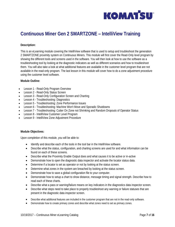

# <span id="page-6-0"></span>**Continuous Miner Gen 2 SMARTZONE – IntelliView Training**

### **Description:**

This is an eLearning module covering the IntelliView software that is used to setup and troubleshoot the generation 2 SMARTZONE proximity system on Continuous Miners. This module will first cover the Read-Only level program by showing the different tools and screens used in the software. You will then look at how to use the software as a troubleshooting tool by looking at the diagnostic indicators as well as different scenarios and how to troubleshoot them. You will also take a look at what additional features are available in the customer level program that are not available in the read-only program. The last lesson in this module will cover how to do a zone adjustment procedure using the customer level software.

**Module Outline:**

- Lesson 1 Read-Only Program Overview
- Lesson 2 Read-Only Status Screen
- Lesson 3 Read-Only Configuration Screen and Charting
- Lesson 4 Troubleshooting: Diagnostics
- Lesson 5 Troubleshooting: Zone Performance Issues
- Lesson 6 Troubleshooting: Machine Won't Move and Sporadic Shutdowns
- Lesson 7 Troubleshooting: Cutter On Zone not Shrinking and Random Dropouts of Operator Status
- Lesson 8 IntelliView Customer Level Program
- Lesson 9 IntelliView Zone Adjustment Procedure

#### **Module Objectives:**

- Identify and describe each of the tools in the tool bar in the IntelliView software.
- Describe what the status, configuration, and charting screens are used for and what information can be found on each of these screens.
- Describe what the Proximity Enable Output does and what causes it to be active or in-active
- Demonstrate how to open the diagnostic data inspector and activate the locator status data.
- Determine if a locator is set as operator or not by looking at the status screen.
- Determine what zones in the system are breached by looking at the status screen.
- Demonstrate how to save a global configuration file to your computer.
- Demonstrate how to setup a chart to show distance, message timing and signal strength. Describe how to read each of these charts.
- Describe what a pass or warning/failure means on key indicators in the diagnostics data inspector screen.
- Describe what steps need to take place to properly troubleshoot any warning or failure statuses that are present in the diagnostic data inspector screen.
- Describe what additional features are included in the customer program that are not in the read-only software.
- Demonstrate how to create primary zones and describe what zones need to set as primary zones.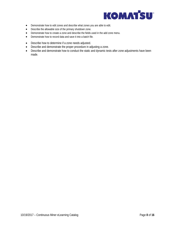

- Demonstrate how to edit zones and describe what zones you are able to edit.
- Describe the allowable size of the primary shutdown zone.
- Demonstrate how to create a zone and describe the fields used in the add zone menu.
- Demonstrate how to record data and save it into a batch file.
- Describe how to determine if a zone needs adjusted.
- Describe and demonstrate the proper procedure in adjusting a zone.
- Describe and demonstrate how to conduct the static and dynamic tests after zone adjustments have been made.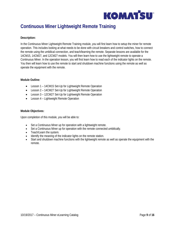

# <span id="page-8-0"></span>**Continuous Miner Lightweight Remote Training**

### **Description:**

In the Continuous Miner Lightweight Remote Training module, you will first learn how to setup the miner for remote operation. This includes looking at what needs to be done with circuit breakers and control switches, how to connect the remote using the umbilical connection, and teach/learning the remote. Separate lessons are available for the 14CM15, 14CM27, and 12CM27 models. You will then learn how to use the lightweight remote to operate a Continuous Miner. In the operation lesson, you will first learn how to read each of the indicator lights on the remote. You then will learn how to use the remote to start and shutdown machine functions using the remote as well as operate the equipment with the remote.

#### **Module Outline:**

- Lesson 1 14 CM15 Set-Up for Lightweight Remote Operation
- Lesson 2 14CM27 Set-Up for Lightweight Remote Operation
- Lesson 3 12CM27 Set-Up for Lightweight Remote Operation
- Lesson 4 Lightweight Remote Operation

### **Module Objectives:**

- Set a Continuous Miner up for operation with a lightweight remote.
- Set a Continuous Miner up for operation with the remote connected umbilically.
- Teach/Learn the system.
- Identify the meaning of the indicator lights on the remote station.
- Start and shutdown machine functions with the lightweight remote as well as operate the equipment with the remote.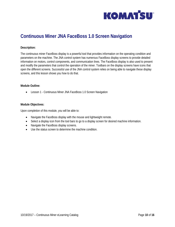

## <span id="page-9-0"></span>**Continuous Miner JNA FaceBoss 1.0 Screen Navigation**

#### **Description:**

The continuous miner FaceBoss display is a powerful tool that provides information on the operating condition and parameters on the machine. The JNA control system has numerous FaceBoss display screens to provide detailed information on motors, control components, and communication lines. The FaceBoss display is also used to present and modify the parameters that control the operation of the miner. Toolbars on the display screens have icons that open the different screens. Successful use of the JNA control system relies on being able to navigate these display screens, and this lesson shows you how to do that.

#### **Module Outline:**

• Lesson 1 - Continuous Miner JNA FaceBoss 1.0 Screen Navigation

#### **Module Objectives:**

- Navigate the FaceBoss display with the mouse and lightweight remote.
- Select a display icon from the tool bars to go to a display screen for desired machine information.
- Navigate the FaceBoss display screens.
- Use the status screen to determine the machine condition.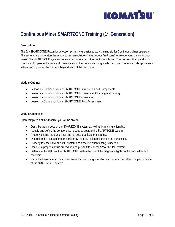

# <span id="page-10-0"></span>**Continuous Miner SMARTZONE Training (1st Generation)**

### **Description:**

The Joy SMARTZONE Proximity detection system was designed as a training aid for Continuous Miner operators. The system helps operators learn how to remain outside of a hazardous "red zone" while operating the continuous miner. The SMARTZONE system creates a red zone around the Continuous Miner. This prevents the operator from continuing to operate the tram and conveyor swing functions if standing inside the zone. This system also provides a yellow warning zone which extend beyond each of the red zones.

#### **Module Outline:**

- Lesson 1 Continuous Miner SMARTZONE Introduction and Components
- Lesson 2 Continuous Miner SMARTZONE Transmitter Charging and Testing
- Lesson 3 Continuous Miner SMARTZONE Operation
- Lesson 4 Continuous Miner SMARTZONE Post-Assessment

#### **Module Objectives:**

- Describe the purpose of the SMARTZONE system as well as its main functionality.
- Identify and define the components needed to operate the SMARTZONE system.
- Properly charge the transmitter and list best practices for charging.
- Determine the status of the transmitter by the LED indicator lights on the transmitter.
- Properly test the SMARTZONE system and describe when testing is needed.
- Conduct a proper start up procedure and pre-shift test of the SMARTZONE system.
- Determine the status of the SMARTZONE system by use of the diagnostic lights on the transmitter and receivers.
- Place the transmitter in the correct areas for use during operation and list what can affect the performance of the SMARTZONE system.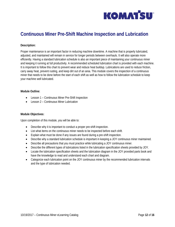

# <span id="page-11-0"></span>**Continuous Miner Pre-Shift Machine Inspection and Lubrication**

### **Description:**

Proper maintenance is an important factor in reducing machine downtime. A machine that is properly lubricated, adjusted, and maintained will remain in service for longer periods between overhauls. It will also operate more efficiently. Having a standard lubrication schedule is also an important piece of maintaining your continuous miner and keeping it running at full productivity. A recommended scheduled lubrication chart is provided with each machine. It is important to follow this chart to prevent wear and reduce heat buildup. Lubrications are used to reduce friction, carry away heat, prevent rusting, and keep dirt out of an area. This module covers the inspection of a continuous miner that needs to be done before the start of each shift as well as how to follow the lubrication schedule to keep your machine well lubricated.

#### **Module Outline:**

- Lesson 1 Continuous Miner Pre-Shift Inspection
- Lesson 2 Continuous Miner Lubrication

#### **Module Objectives:**

- Describe why it is important to conduct a proper pre-shift inspection.
- List what items on the continuous miner needs to be inspected before each shift.
- Explain what must be done if any issues are found during a pre-shift inspection.
- Describe why a standard lubrication schedule is important in keeping a JOY continuous miner maintained.
- Describe all precautions that you must practice while lubricating a JOY continuous miner.
- Describe the different types of lubrications listed in the lubrication specification sheets provided by JOY.
- Locate the lubrication specification sheets and the lubrication diagram in the JOY provided parts book and have the knowledge to read and understand each chart and diagram.
- Categorize each lubrication point on the JOY continuous miner by the recommended lubrication intervals and the type of lubrication needed.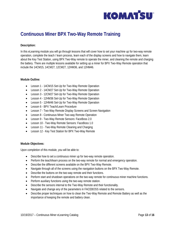

# <span id="page-12-0"></span>**Continuous Miner BPX Two-Way Remote Training**

### **Description:**

In this eLearning module you will go through lessons that will cover how to set your machine up for two-way remote operation, complete the teach / learn process, learn each of the display screens and how to navigate them, learn about the Key Test Station, using BPX Two-Way remote to operate the miner, and cleaning the remote and charging the battery. There are multiple lessons available for setting up a miner for BPX Two-Way Remote operation that include the 14CM15, 14CM27, 12CM27, 12HM36, and 12HM46.

#### **Module Outline:**

- Lesson 1 14CM15 Set-Up for Two-Way Remote Operation
- Lesson 2 14CM27 Set-Up for Two-Way Remote Operation
- Lesson 3 12CM27 Set-Up for Two-Way Remote Operation
- Lesson 4 12HM36 Set-Up for Two-Way Remote Operation
- Lesson 5 12HM46 Set-Up for Two-Way Remote Operation
- Lesson 6 BPX Teach/Learn Procedure
- Lesson 7 Two-Way Remote Display Screens and Screen Navigation
- Lesson 8 Continuous Miner Two-way Remote Operation
- Lesson 9 Two-Way Remote Sensors: FaceBoss 2.0
- Lesson 10 Two-Way Remote Sensors: FaceBoss 1.0
- Lesson 11 Two-Way Remote Cleaning and Charging
- Lesson 12 Key Test Station for BPX Two-Way Remote

#### **Module Objectives:**

- Describe how to set a continuous miner up for two-way remote operation.
- Perform the teach/learn process on the two-way remote for normal and emergency operation.
- Describe the different screens available on the BPX Two-Way Remote.
- Navigate through all of the screens using the navigation buttons on the BPX Two-Way Remote.
- Describe the buttons on the two-way remote and their functions.
- Perform start and shutdown operations on the two-way remote for continuous miner machine functions.
- Perform auxiliary functions using the two-way remote station.
- Describe the sensors internal to the Two-Way Remote and their functionality.
- Navigate and change any of the parameters in FACEBOSS related to the sensors.
- Describe proper techniques on how to clean the Two-Way Remote and Remote Battery as well as the importance of keeping the remote and battery clean.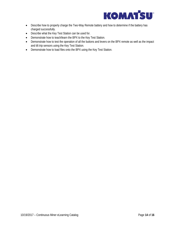

- Describe how to properly charge the Two-Way Remote battery and how to determine if the battery has charged successfully.
- Describe what the Key Test Station can be used for.
- Demonstrate how to teach/learn the BPX to the Key Test Station.
- Demonstrate how to test the operation of all the buttons and levers on the BPX remote as well as the impact and tilt trip sensors using the Key Test Station.
- Demonstrate how to load files onto the BPX using the Key Test Station.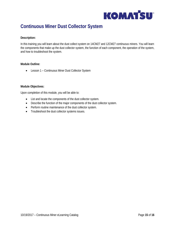

### <span id="page-14-0"></span>**Continuous Miner Dust Collector System**

#### **Description:**

In this training you will learn about the dust collect system on 14CM27 and 12CM27 continuous miners. You will learn the components that make up the dust collector system, the function of each component, the operation of the system, and how to troubleshoot the system.

#### **Module Outline:**

• Lesson 1 – Continuous Miner Dust Collector System

#### **Module Objectives:**

- List and locate the components of the dust collector system.
- Describe the function of the major components of the dust collector system.
- Perform routine maintenance of the dust collector system.
- Troubleshoot the dust collector systems issues.